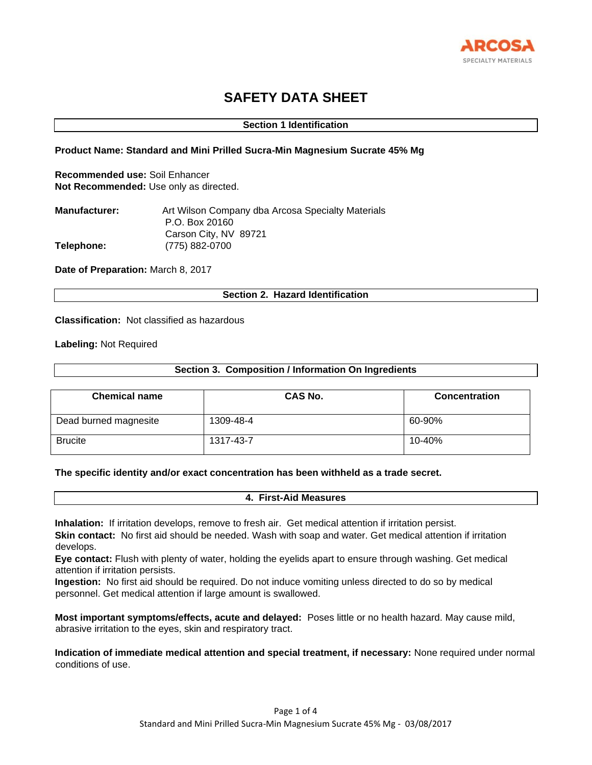

# **SAFETY DATA SHEET**

# **Section 1 Identification**

# **Product Name: Standard and Mini Prilled Sucra-Min Magnesium Sucrate 45% Mg**

**Recommended use:** Soil Enhancer **Not Recommended:** Use only as directed.

| <b>Manufacturer:</b> | Art Wilson Company dba Arcosa Specialty Materials |
|----------------------|---------------------------------------------------|
|                      | P.O. Box 20160                                    |
|                      | Carson City, NV 89721                             |
| Telephone:           | (775) 882-0700                                    |

**Date of Preparation:** March 8, 2017

# **Section 2. Hazard Identification**

**Classification:** Not classified as hazardous

**Labeling:** Not Required

# **Section 3. Composition / Information On Ingredients**

| <b>Chemical name</b>  | CAS No.   | <b>Concentration</b> |
|-----------------------|-----------|----------------------|
| Dead burned magnesite | 1309-48-4 | 60-90%               |
| <b>Brucite</b>        | 1317-43-7 | 10-40%               |

# **The specific identity and/or exact concentration has been withheld as a trade secret.**

#### **4. First-Aid Measures**

**Inhalation:** If irritation develops, remove to fresh air. Get medical attention if irritation persist. **Skin contact:** No first aid should be needed. Wash with soap and water. Get medical attention if irritation develops.

**Eye contact:** Flush with plenty of water, holding the eyelids apart to ensure through washing. Get medical attention if irritation persists.

**Ingestion:** No first aid should be required. Do not induce vomiting unless directed to do so by medical personnel. Get medical attention if large amount is swallowed.

**Most important symptoms/effects, acute and delayed:** Poses little or no health hazard. May cause mild, abrasive irritation to the eyes, skin and respiratory tract.

**Indication of immediate medical attention and special treatment, if necessary:** None required under normal conditions of use.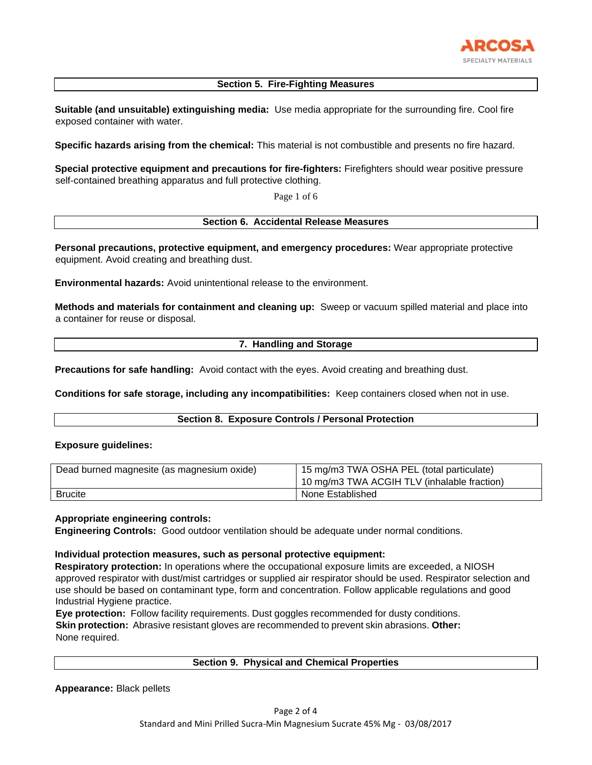

# **Section 5. Fire-Fighting Measures**

**Suitable (and unsuitable) extinguishing media:** Use media appropriate for the surrounding fire. Cool fire exposed container with water.

**Specific hazards arising from the chemical:** This material is not combustible and presents no fire hazard.

**Special protective equipment and precautions for fire-fighters:** Firefighters should wear positive pressure self-contained breathing apparatus and full protective clothing.

Page 1 of 6

# **Section 6. Accidental Release Measures**

**Personal precautions, protective equipment, and emergency procedures:** Wear appropriate protective equipment. Avoid creating and breathing dust.

**Environmental hazards:** Avoid unintentional release to the environment.

**Methods and materials for containment and cleaning up:** Sweep or vacuum spilled material and place into a container for reuse or disposal.

# **7. Handling and Storage**

**Precautions for safe handling:** Avoid contact with the eyes. Avoid creating and breathing dust.

**Conditions for safe storage, including any incompatibilities:** Keep containers closed when not in use.

# **Section 8. Exposure Controls / Personal Protection**

#### **Exposure guidelines:**

| Dead burned magnesite (as magnesium oxide) | 15 mg/m3 TWA OSHA PEL (total particulate)<br>10 mg/m3 TWA ACGIH TLV (inhalable fraction) |
|--------------------------------------------|------------------------------------------------------------------------------------------|
| <b>Brucite</b>                             | None Established                                                                         |

#### **Appropriate engineering controls:**

**Engineering Controls:** Good outdoor ventilation should be adequate under normal conditions.

# **Individual protection measures, such as personal protective equipment:**

**Respiratory protection:** In operations where the occupational exposure limits are exceeded, a NIOSH approved respirator with dust/mist cartridges or supplied air respirator should be used. Respirator selection and use should be based on contaminant type, form and concentration. Follow applicable regulations and good Industrial Hygiene practice.

**Eye protection:** Follow facility requirements. Dust goggles recommended for dusty conditions. **Skin protection:** Abrasive resistant gloves are recommended to prevent skin abrasions. **Other:**  None required.

#### **Section 9. Physical and Chemical Properties**

**Appearance:** Black pellets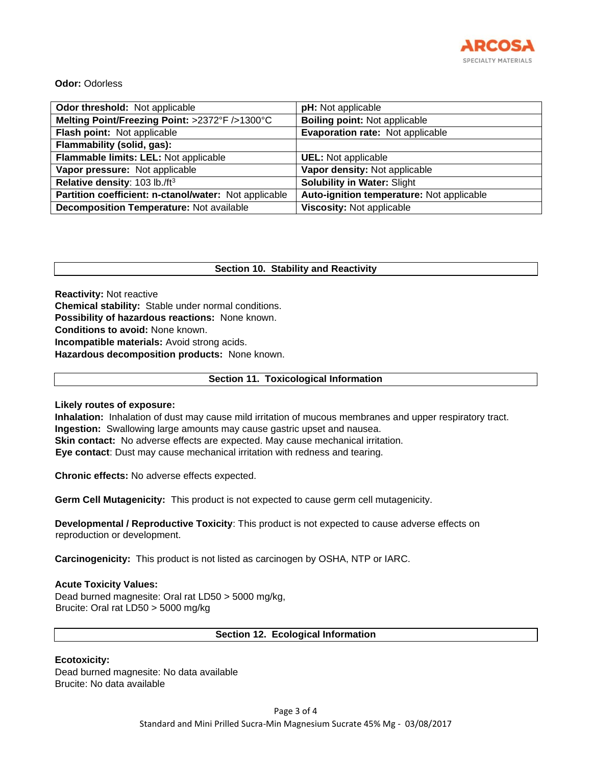

# **Odor:** Odorless

| Odor threshold: Not applicable                        | pH: Not applicable                        |
|-------------------------------------------------------|-------------------------------------------|
| Melting Point/Freezing Point: >2372°F />1300°C        | <b>Boiling point: Not applicable</b>      |
| Flash point: Not applicable                           | Evaporation rate: Not applicable          |
| Flammability (solid, gas):                            |                                           |
| Flammable limits: LEL: Not applicable                 | <b>UEL:</b> Not applicable                |
| Vapor pressure: Not applicable                        | Vapor density: Not applicable             |
| Relative density: 103 lb./ft <sup>3</sup>             | <b>Solubility in Water: Slight</b>        |
| Partition coefficient: n-ctanol/water: Not applicable | Auto-ignition temperature: Not applicable |
| <b>Decomposition Temperature: Not available</b>       | Viscosity: Not applicable                 |

# **Section 10. Stability and Reactivity**

**Reactivity:** Not reactive **Chemical stability:** Stable under normal conditions. **Possibility of hazardous reactions:** None known. **Conditions to avoid:** None known. **Incompatible materials:** Avoid strong acids. **Hazardous decomposition products:** None known.

# **Section 11. Toxicological Information**

**Likely routes of exposure:** 

**Inhalation:** Inhalation of dust may cause mild irritation of mucous membranes and upper respiratory tract. **Ingestion:** Swallowing large amounts may cause gastric upset and nausea. **Skin contact:** No adverse effects are expected. May cause mechanical irritation. **Eye contact**: Dust may cause mechanical irritation with redness and tearing.

**Chronic effects:** No adverse effects expected.

**Germ Cell Mutagenicity:** This product is not expected to cause germ cell mutagenicity.

**Developmental / Reproductive Toxicity**: This product is not expected to cause adverse effects on reproduction or development.

**Carcinogenicity:** This product is not listed as carcinogen by OSHA, NTP or IARC.

# **Acute Toxicity Values:**

Dead burned magnesite: Oral rat LD50 > 5000 mg/kg, Brucite: Oral rat LD50 > 5000 mg/kg

# **Section 12. Ecological Information**

# **Ecotoxicity:**

Dead burned magnesite: No data available Brucite: No data available